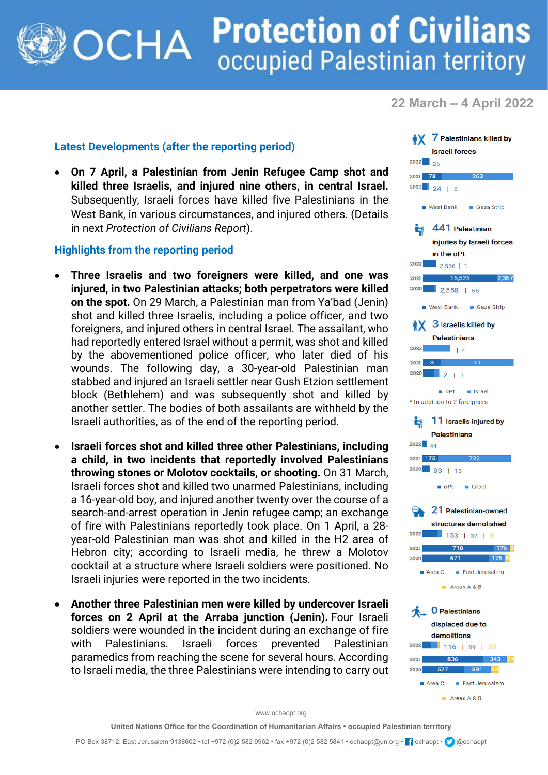## **Protection of Civilians** OCHA occupied Palestinian territory

**22 March – 4 April 2022**

## **Latest Developments (after the reporting period)**

• **On 7 April, a Palestinian from Jenin Refugee Camp shot and killed three Israelis, and injured nine others, in central Israel.**  Subsequently, Israeli forces have killed five Palestinians in the West Bank, in various circumstances, and injured others. (Details in next *Protection of Civilians Report*).

## **Highlights from the reporting period**

- **Three Israelis and two foreigners were killed, and one was injured, in two Palestinian attacks; both perpetrators were killed on the spot.** On 29 March, a Palestinian man from Ya'bad (Jenin) shot and killed three Israelis, including a police officer, and two foreigners, and injured others in central Israel. The assailant, who had reportedly entered Israel without a permit, was shot and killed by the abovementioned police officer, who later died of his wounds. The following day, a 30-year-old Palestinian man stabbed and injured an Israeli settler near Gush Etzion settlement block (Bethlehem) and was subsequently shot and killed by another settler. The bodies of both assailants are withheld by the Israeli authorities, as of the end of the reporting period.
- **Israeli forces shot and killed three other Palestinians, including a child, in two incidents that reportedly involved Palestinians throwing stones or Molotov cocktails, or shooting.** On 31 March, Israeli forces shot and killed two unarmed Palestinians, including a 16-year-old boy, and injured another twenty over the course of a search-and-arrest operation in Jenin refugee camp; an exchange of fire with Palestinians reportedly took place. On 1 April, a 28 year-old Palestinian man was shot and killed in the H2 area of Hebron city; according to Israeli media, he threw a Molotov cocktail at a structure where Israeli soldiers were positioned. No Israeli injuries were reported in the two incidents.
- **Another three Palestinian men were killed by undercover Israeli forces on 2 April at the Arraba junction (Jenin).** Four Israeli soldiers were wounded in the incident during an exchange of fire with Palestinians. Israeli forces prevented Palestinian paramedics from reaching the scene for several hours. According to Israeli media, the three Palestinians were intending to carry out



www.ochaopt.org

**United Nations Office for the Coordination of Humanitarian Affairs • occupied Palestinian territory**

PO Box 38712, East Jerusalem 9138602 • tel +972 (0)2 582 9962 • fax +972 (0)2 582 5841 • ochaopt@un.org • <sup>1</sup> ochaopt • @ @ochaopt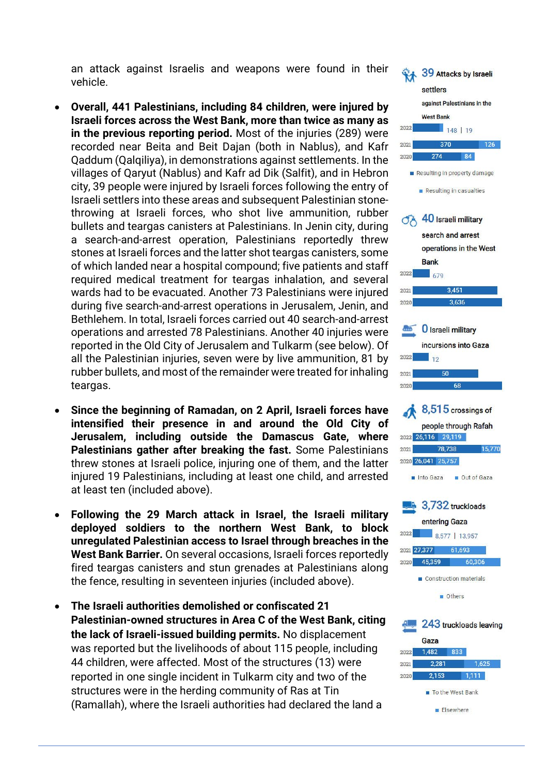an attack against Israelis and weapons were found in their vehicle.

- **Overall, 441 Palestinians, including 84 children, were injured by Israeli forces across the West Bank, more than twice as many as in the previous reporting period.** Most of the injuries (289) were recorded near Beita and Beit Dajan (both in Nablus), and Kafr Qaddum (Qalqiliya), in demonstrations against settlements. In the villages of Qaryut (Nablus) and Kafr ad Dik (Salfit), and in Hebron city, 39 people were injured by Israeli forces following the entry of Israeli settlers into these areas and subsequent Palestinian stonethrowing at Israeli forces, who shot live ammunition, rubber bullets and teargas canisters at Palestinians. In Jenin city, during a search-and-arrest operation, Palestinians reportedly threw stones at Israeli forces and the latter shot teargas canisters, some of which landed near a hospital compound; five patients and staff required medical treatment for teargas inhalation, and several wards had to be evacuated. Another 73 Palestinians were injured during five search-and-arrest operations in Jerusalem, Jenin, and Bethlehem. In total, Israeli forces carried out 40 search-and-arrest operations and arrested 78 Palestinians. Another 40 injuries were reported in the Old City of Jerusalem and Tulkarm (see below). Of all the Palestinian injuries, seven were by live ammunition, 81 by rubber bullets, and most of the remainder were treated for inhaling teargas.
- **Since the beginning of Ramadan, on 2 April, Israeli forces have intensified their presence in and around the Old City of Jerusalem, including outside the Damascus Gate, where Palestinians gather after breaking the fast.** Some Palestinians threw stones at Israeli police, injuring one of them, and the latter injured 19 Palestinians, including at least one child, and arrested at least ten (included above).
- **Following the 29 March attack in Israel, the Israeli military deployed soldiers to the northern West Bank, to block unregulated Palestinian access to Israel through breaches in the West Bank Barrier.** On several occasions, Israeli forces reportedly fired teargas canisters and stun grenades at Palestinians along the fence, resulting in seventeen injuries (included above).
- **The Israeli authorities demolished or confiscated 21 Palestinian-owned structures in Area C of the West Bank, citing the lack of Israeli-issued building permits.** No displacement was reported but the livelihoods of about 115 people, including 44 children, were affected. Most of the structures (13) were reported in one single incident in Tulkarm city and two of the structures were in the herding community of Ras at Tin (Ramallah), where the Israeli authorities had declared the land a

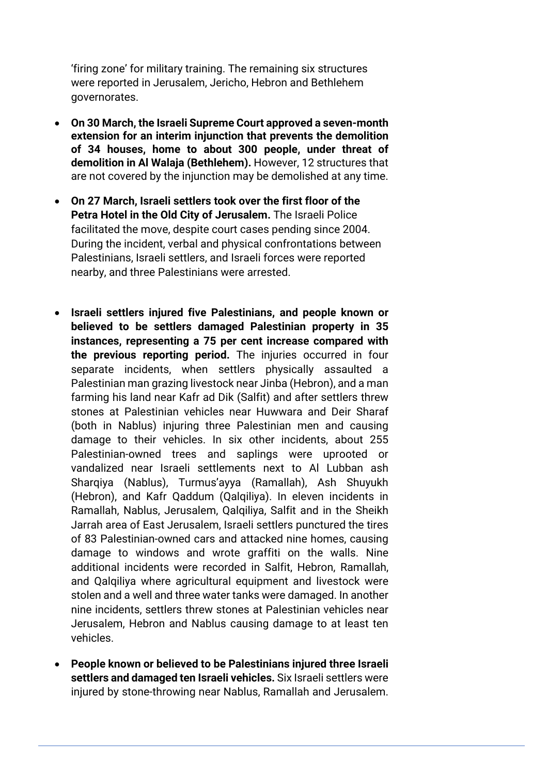'firing zone' for military training. The remaining six structures were reported in Jerusalem, Jericho, Hebron and Bethlehem governorates.

- **On 30 March, the Israeli Supreme Court approved a seven-month extension for an interim injunction that prevents the demolition of 34 houses, home to about 300 people, under threat of demolition in Al Walaja (Bethlehem).** However, 12 structures that are not covered by the injunction may be demolished at any time.
- **On 27 March, Israeli settlers took over the first floor of the Petra Hotel in the Old City of Jerusalem.** The Israeli Police facilitated the move, despite court cases pending since 2004. During the incident, verbal and physical confrontations between Palestinians, Israeli settlers, and Israeli forces were reported nearby, and three Palestinians were arrested.
- **Israeli settlers injured five Palestinians, and people known or believed to be settlers damaged Palestinian property in 35 instances, representing a 75 per cent increase compared with the previous reporting period.** The injuries occurred in four separate incidents, when settlers physically assaulted a Palestinian man grazing livestock near Jinba (Hebron), and a man farming his land near Kafr ad Dik (Salfit) and after settlers threw stones at Palestinian vehicles near Huwwara and Deir Sharaf (both in Nablus) injuring three Palestinian men and causing damage to their vehicles. In six other incidents, about 255 Palestinian-owned trees and saplings were uprooted or vandalized near Israeli settlements next to Al Lubban ash Sharqiya (Nablus), Turmus'ayya (Ramallah), Ash Shuyukh (Hebron), and Kafr Qaddum (Qalqiliya). In eleven incidents in Ramallah, Nablus, Jerusalem, Qalqiliya, Salfit and in the Sheikh Jarrah area of East Jerusalem, Israeli settlers punctured the tires of 83 Palestinian-owned cars and attacked nine homes, causing damage to windows and wrote graffiti on the walls. Nine additional incidents were recorded in Salfit, Hebron, Ramallah, and Qalqiliya where agricultural equipment and livestock were stolen and a well and three water tanks were damaged. In another nine incidents, settlers threw stones at Palestinian vehicles near Jerusalem, Hebron and Nablus causing damage to at least ten vehicles.
- **People known or believed to be Palestinians injured three Israeli settlers and damaged ten Israeli vehicles.** Six Israeli settlers were injured by stone-throwing near Nablus, Ramallah and Jerusalem.